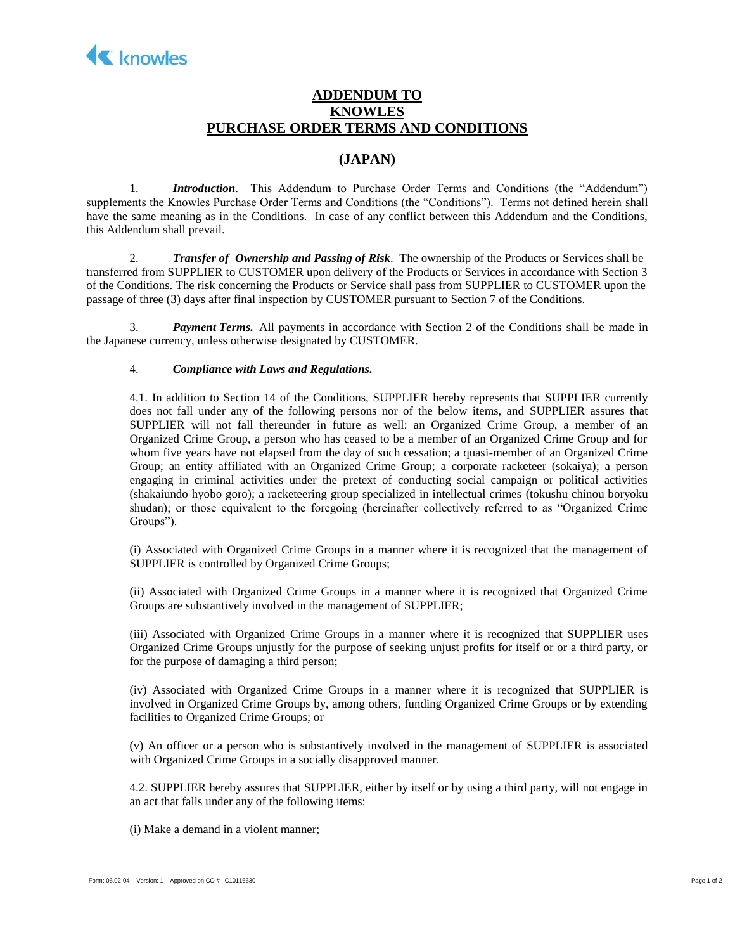

## **ADDENDUM TO KNOWLES PURCHASE ORDER TERMS AND CONDITIONS**

## **(JAPAN)**

1. *Introduction*. This Addendum to Purchase Order Terms and Conditions (the "Addendum") supplements the Knowles Purchase Order Terms and Conditions (the "Conditions"). Terms not defined herein shall have the same meaning as in the Conditions. In case of any conflict between this Addendum and the Conditions, this Addendum shall prevail.

2. *Transfer of Ownership and Passing of Risk*. The ownership of the Products or Services shall be transferred from SUPPLIER to CUSTOMER upon delivery of the Products or Services in accordance with Section 3 of the Conditions. The risk concerning the Products or Service shall pass from SUPPLIER to CUSTOMER upon the passage of three (3) days after final inspection by CUSTOMER pursuant to Section 7 of the Conditions.

3. *Payment Terms.* All payments in accordance with Section 2 of the Conditions shall be made in the Japanese currency, unless otherwise designated by CUSTOMER.

## 4. *Compliance with Laws and Regulations.*

4.1. In addition to Section 14 of the Conditions, SUPPLIER hereby represents that SUPPLIER currently does not fall under any of the following persons nor of the below items, and SUPPLIER assures that SUPPLIER will not fall thereunder in future as well: an Organized Crime Group, a member of an Organized Crime Group, a person who has ceased to be a member of an Organized Crime Group and for whom five years have not elapsed from the day of such cessation; a quasi-member of an Organized Crime Group; an entity affiliated with an Organized Crime Group; a corporate racketeer (sokaiya); a person engaging in criminal activities under the pretext of conducting social campaign or political activities (shakaiundo hyobo goro); a racketeering group specialized in intellectual crimes (tokushu chinou boryoku shudan); or those equivalent to the foregoing (hereinafter collectively referred to as "Organized Crime Groups").

(i) Associated with Organized Crime Groups in a manner where it is recognized that the management of SUPPLIER is controlled by Organized Crime Groups;

(ii) Associated with Organized Crime Groups in a manner where it is recognized that Organized Crime Groups are substantively involved in the management of SUPPLIER;

(iii) Associated with Organized Crime Groups in a manner where it is recognized that SUPPLIER uses Organized Crime Groups unjustly for the purpose of seeking unjust profits for itself or or a third party, or for the purpose of damaging a third person;

(iv) Associated with Organized Crime Groups in a manner where it is recognized that SUPPLIER is involved in Organized Crime Groups by, among others, funding Organized Crime Groups or by extending facilities to Organized Crime Groups; or

(v) An officer or a person who is substantively involved in the management of SUPPLIER is associated with Organized Crime Groups in a socially disapproved manner.

4.2. SUPPLIER hereby assures that SUPPLIER, either by itself or by using a third party, will not engage in an act that falls under any of the following items:

(i) Make a demand in a violent manner;